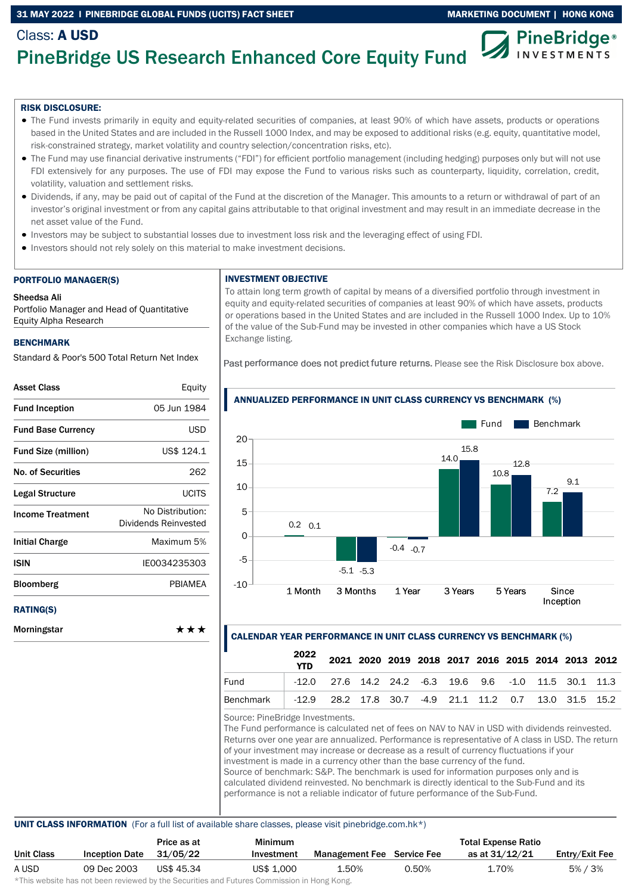### 31 MAY 2022 I PINEBRIDGE GLOBAL FUNDS (UCITS) FACT SHEET MARKETING DOCUMENT | HONG KONG



# PineBridge US Research Enhanced Core Equity Fund

### RISK DISCLOSURE:

Class: A USD

- The Fund invests primarily in equity and equity-related securities of companies, at least 90% of which have assets, products or operations based in the United States and are included in the Russell 1000 Index, and may be exposed to additional risks (e.g. equity, quantitative model, risk-constrained strategy, market volatility and country selection/concentration risks, etc).
- The Fund may use financial derivative instruments ("FDI") for efficient portfolio management (including hedging) purposes only but will not use FDI extensively for any purposes. The use of FDI may expose the Fund to various risks such as counterparty, liquidity, correlation, credit, volatility, valuation and settlement risks.
- Dividends, if any, may be paid out of capital of the Fund at the discretion of the Manager. This amounts to a return or withdrawal of part of an investor's original investment or from any capital gains attributable to that original investment and may result in an immediate decrease in the net asset value of the Fund.
- Investors may be subject to substantial losses due to investment loss risk and the leveraging effect of using FDI.
- Investors should not rely solely on this material to make investment decisions.

#### PORTFOLIO MANAGER(S)

#### Sheedsa Ali

Portfolio Manager and Head of Quantitative Equity Alpha Research

### BENCHMARK

Standard & Poor's 500 Total Return Net Index

| <b>Asset Class</b>         | Equity                                   |
|----------------------------|------------------------------------------|
| <b>Fund Inception</b>      | 05 Jun 1984                              |
| <b>Fund Base Currency</b>  | <b>USD</b>                               |
| <b>Fund Size (million)</b> | US\$ 124.1                               |
| <b>No. of Securities</b>   | 262                                      |
| Legal Structure            | UCITS                                    |
| <b>Income Treatment</b>    | No Distribution:<br>Dividends Reinvested |
| Initial Charge             | Maximum 5%                               |
| ISIN                       | IE0034235303                             |
| <b>Bloomberg</b>           | PBIAMEA                                  |
| <b>RATING(S)</b>           |                                          |
| Morningstar                | ***                                      |

### INVESTMENT OBJECTIVE

To attain long term growth of capital by means of a diversified portfolio through investment in equity and equity-related securities of companies at least 90% of which have assets, products or operations based in the United States and are included in the Russell 1000 Index. Up to 10% of the value of the Sub-Fund may be invested in other companies which have a US Stock Exchange listing.

Past performance does not predict future returns. Please see the Risk Disclosure box above.



# ANNUALIZED PERFORMANCE IN UNIT CLASS CURRENCY VS BENCHMARK (%)

### CALENDAR YEAR PERFORMANCE IN UNIT CLASS CURRENCY VS BENCHMARK (%)

|                                                                    | 2022<br><b>YTD</b> |                                                              | 2021 2020 2019 2018 2017 2016 2015 2014 2013 2012 |  |  |  |  |
|--------------------------------------------------------------------|--------------------|--------------------------------------------------------------|---------------------------------------------------|--|--|--|--|
| Fund                                                               |                    | $-12.0$ 27.6 14.2 24.2 $-6.3$ 19.6 9.6 $-1.0$ 11.5 30.1 11.3 |                                                   |  |  |  |  |
| Benchmark   -12.9 28.2 17.8 30.7 -4.9 21.1 11.2 0.7 13.0 31.5 15.2 |                    |                                                              |                                                   |  |  |  |  |

Source: PineBridge Investments.

The Fund performance is calculated net of fees on NAV to NAV in USD with dividends reinvested. Returns over one year are annualized. Performance is representative of A class in USD. The return of your investment may increase or decrease as a result of currency fluctuations if your investment is made in a currency other than the base currency of the fund. Source of benchmark: S&P. The benchmark is used for information purposes only and is calculated dividend reinvested. No benchmark is directly identical to the Sub-Fund and its performance is not a reliable indicator of future performance of the Sub-Fund.

### UNIT CLASS INFORMATION (For a full list of available share classes, please visit pinebridge.com.hk\*)

|                       | Price as at | Minimum    |       |       | <b>Total Expense Ratio</b>        |                |
|-----------------------|-------------|------------|-------|-------|-----------------------------------|----------------|
| <b>Inception Date</b> | 31/05/22    | Investment |       |       | as at 31/12/21                    | Entry/Exit Fee |
| 09 Dec 2003           | US\$ 45.34  | US\$ 1,000 | 1.50% | 0.50% | 1.70%                             | 5% / 3%        |
|                       |             |            |       |       | <b>Management Fee</b> Service Fee |                |

\*This website has not been reviewed by the Securities and Futures Commission in Hong Kong.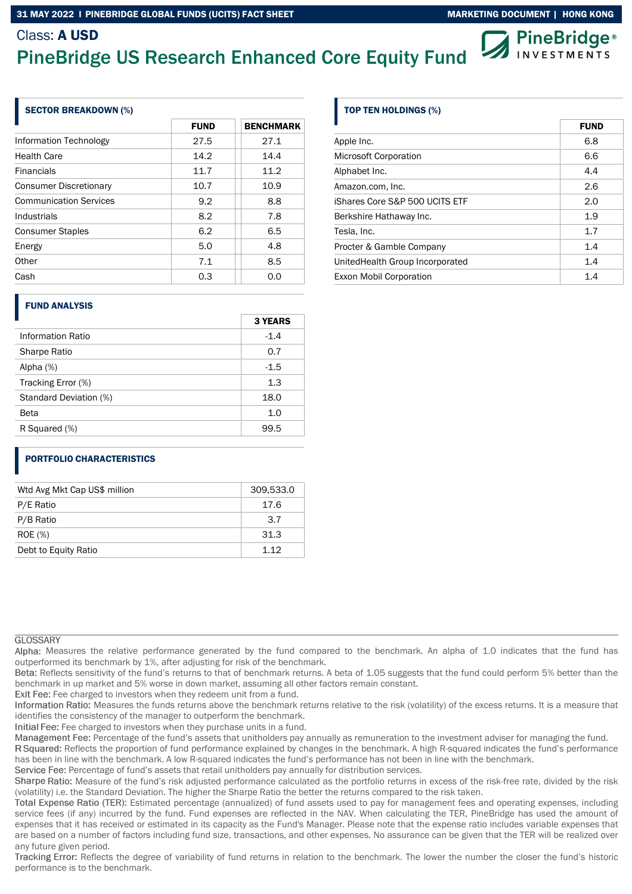# Class: A USD

# PineBridge US Research Enhanced Core Equity Fund

| $\mathcal{D}$ PineBridge |
|--------------------------|
|                          |

| <b>SECTOR BREAKDOWN (%)</b>   |             |                  |  |  |
|-------------------------------|-------------|------------------|--|--|
|                               | <b>FUND</b> | <b>BENCHMARK</b> |  |  |
| Information Technology        | 27.5        | 27.1             |  |  |
| <b>Health Care</b>            | 14.2        | 14.4             |  |  |
| <b>Financials</b>             | 11.7        | 11.2             |  |  |
| <b>Consumer Discretionary</b> | 10.7        | 10.9             |  |  |
| <b>Communication Services</b> | 9.2         | 8.8              |  |  |
| Industrials                   | 8.2         | 7.8              |  |  |
| <b>Consumer Staples</b>       | 6.2         | 6.5              |  |  |
| Energy                        | 5.0         | 4.8              |  |  |
| Other                         | 7.1         | 8.5              |  |  |
| Cash                          | 0.3         | 0.0              |  |  |

### FUND ANALYSIS

|                        | <b>3 YEARS</b> |
|------------------------|----------------|
| Information Ratio      | $-1.4$         |
| <b>Sharpe Ratio</b>    | 0.7            |
| Alpha $(%)$            | $-1.5$         |
| Tracking Error (%)     | 1.3            |
| Standard Deviation (%) | 18.0           |
| Beta                   | 1.0            |
| R Squared (%)          | 99.5           |
|                        |                |

## PORTFOLIO CHARACTERISTICS

| Wtd Avg Mkt Cap US\$ million | 309,533.0 |
|------------------------------|-----------|
| P/E Ratio                    | 17.6      |
| P/B Ratio                    | 3.7       |
| <b>ROE</b> (%)               | 31.3      |
| Debt to Equity Ratio         | 1 1 2     |

### **GLOSSARY**

Alpha: Measures the relative performance generated by the fund compared to the benchmark. An alpha of 1.0 indicates that the fund has outperformed its benchmark by 1%, after adjusting for risk of the benchmark.

Beta: Reflects sensitivity of the fund's returns to that of benchmark returns. A beta of 1.05 suggests that the fund could perform 5% better than the benchmark in up market and 5% worse in down market, assuming all other factors remain constant.

Exit Fee: Fee charged to investors when they redeem unit from a fund.

Information Ratio: Measures the funds returns above the benchmark returns relative to the risk (volatility) of the excess returns. It is a measure that identifies the consistency of the manager to outperform the benchmark.

Initial Fee: Fee charged to investors when they purchase units in a fund.

Management Fee: Percentage of the fund's assets that unitholders pay annually as remuneration to the investment adviser for managing the fund.

R Squared: Reflects the proportion of fund performance explained by changes in the benchmark. A high R-squared indicates the fund's performance has been in line with the benchmark. A low R-squared indicates the fund's performance has not been in line with the benchmark.

Service Fee: Percentage of fund's assets that retail unitholders pay annually for distribution services.

Sharpe Ratio: Measure of the fund's risk adjusted performance calculated as the portfolio returns in excess of the risk-free rate, divided by the risk (volatility) i.e. the Standard Deviation. The higher the Sharpe Ratio the better the returns compared to the risk taken.

Total Expense Ratio (TER): Estimated percentage (annualized) of fund assets used to pay for management fees and operating expenses, including service fees (if any) incurred by the fund. Fund expenses are reflected in the NAV. When calculating the TER, PineBridge has used the amount of expenses that it has received or estimated in its capacity as the Fund's Manager. Please note that the expense ratio includes variable expenses that are based on a number of factors including fund size, transactions, and other expenses. No assurance can be given that the TER will be realized over any future given period.

Tracking Error: Reflects the degree of variability of fund returns in relation to the benchmark. The lower the number the closer the fund's historic performance is to the benchmark.

## TOP TEN HOLDINGS (%)

|                                  | <b>FUND</b> |
|----------------------------------|-------------|
| Apple Inc.                       | 6.8         |
| <b>Microsoft Corporation</b>     | 6.6         |
| Alphabet Inc.                    | 4.4         |
| Amazon.com, Inc.                 | 2.6         |
| iShares Core S&P 500 UCITS ETF   | 2.0         |
| Berkshire Hathaway Inc.          | 1.9         |
| Tesla, Inc.                      | 1.7         |
| Procter & Gamble Company         | 1.4         |
| United Health Group Incorporated | 1.4         |
| <b>Exxon Mobil Corporation</b>   | 1.4         |